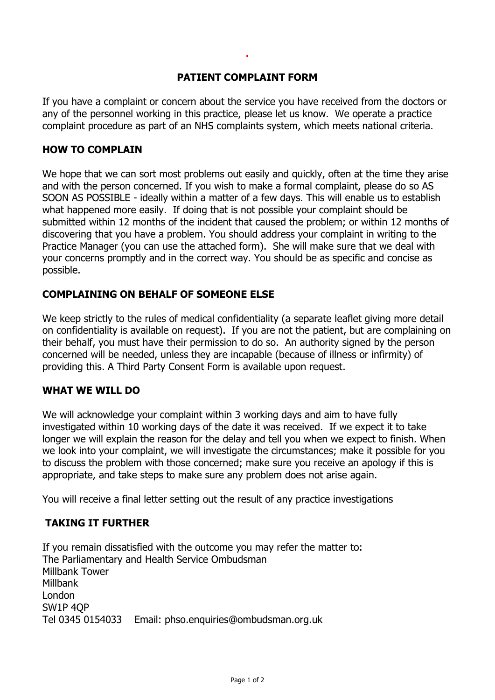## **PATIENT COMPLAINT FORM**

**.**

If you have a complaint or concern about the service you have received from the doctors or any of the personnel working in this practice, please let us know. We operate a practice complaint procedure as part of an NHS complaints system, which meets national criteria.

#### **HOW TO COMPLAIN**

We hope that we can sort most problems out easily and quickly, often at the time they arise and with the person concerned. If you wish to make a formal complaint, please do so AS SOON AS POSSIBLE - ideally within a matter of a few days. This will enable us to establish what happened more easily. If doing that is not possible your complaint should be submitted within 12 months of the incident that caused the problem; or within 12 months of discovering that you have a problem. You should address your complaint in writing to the Practice Manager (you can use the attached form). She will make sure that we deal with your concerns promptly and in the correct way. You should be as specific and concise as possible.

## **COMPLAINING ON BEHALF OF SOMEONE ELSE**

We keep strictly to the rules of medical confidentiality (a separate leaflet giving more detail on confidentiality is available on request). If you are not the patient, but are complaining on their behalf, you must have their permission to do so. An authority signed by the person concerned will be needed, unless they are incapable (because of illness or infirmity) of providing this. A Third Party Consent Form is available upon request.

## **WHAT WE WILL DO**

We will acknowledge your complaint within 3 working days and aim to have fully investigated within 10 working days of the date it was received. If we expect it to take longer we will explain the reason for the delay and tell you when we expect to finish. When we look into your complaint, we will investigate the circumstances; make it possible for you to discuss the problem with those concerned; make sure you receive an apology if this is appropriate, and take steps to make sure any problem does not arise again.

You will receive a final letter setting out the result of any practice investigations

## **TAKING IT FURTHER**

If you remain dissatisfied with the outcome you may refer the matter to: The Parliamentary and Health Service Ombudsman Millbank Tower Millbank London SW1P 4QP Tel 0345 0154033 Email: [phso.enquiries@ombudsman.org.uk](mailto:phso.enquiries@ombudsman.org.uk)